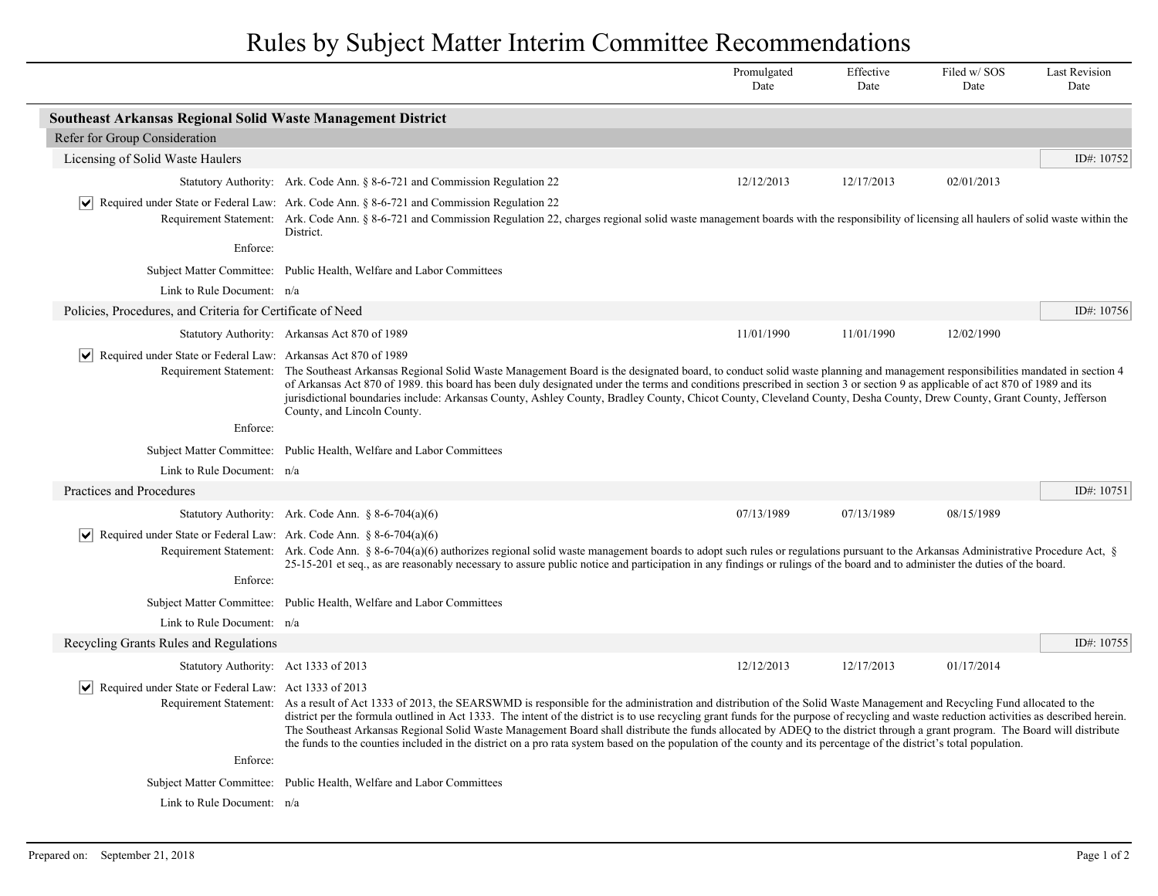Rules by Subject Matter Interim Committee Recommendations

|                                                                                      |                                                                                                                                                                                                                                                                                                                                                                                                                                                                                                                                                                                                                                                                                                                                                     | Promulgated<br>Date | Effective<br>Date | Filed w/SOS<br>Date | <b>Last Revision</b><br>Date |  |  |  |
|--------------------------------------------------------------------------------------|-----------------------------------------------------------------------------------------------------------------------------------------------------------------------------------------------------------------------------------------------------------------------------------------------------------------------------------------------------------------------------------------------------------------------------------------------------------------------------------------------------------------------------------------------------------------------------------------------------------------------------------------------------------------------------------------------------------------------------------------------------|---------------------|-------------------|---------------------|------------------------------|--|--|--|
| Southeast Arkansas Regional Solid Waste Management District                          |                                                                                                                                                                                                                                                                                                                                                                                                                                                                                                                                                                                                                                                                                                                                                     |                     |                   |                     |                              |  |  |  |
| Refer for Group Consideration                                                        |                                                                                                                                                                                                                                                                                                                                                                                                                                                                                                                                                                                                                                                                                                                                                     |                     |                   |                     |                              |  |  |  |
| Licensing of Solid Waste Haulers                                                     |                                                                                                                                                                                                                                                                                                                                                                                                                                                                                                                                                                                                                                                                                                                                                     |                     |                   |                     | ID#: 10752                   |  |  |  |
|                                                                                      | Statutory Authority: Ark. Code Ann. § 8-6-721 and Commission Regulation 22                                                                                                                                                                                                                                                                                                                                                                                                                                                                                                                                                                                                                                                                          | 12/12/2013          | 12/17/2013        | 02/01/2013          |                              |  |  |  |
|                                                                                      | $\vert \bullet \vert$ Required under State or Federal Law: Ark. Code Ann. § 8-6-721 and Commission Regulation 22<br>Requirement Statement: Ark. Code Ann. § 8-6-721 and Commission Regulation 22, charges regional solid waste management boards with the responsibility of licensing all haulers of solid waste within the<br>District.                                                                                                                                                                                                                                                                                                                                                                                                            |                     |                   |                     |                              |  |  |  |
| Enforce:                                                                             |                                                                                                                                                                                                                                                                                                                                                                                                                                                                                                                                                                                                                                                                                                                                                     |                     |                   |                     |                              |  |  |  |
|                                                                                      | Subject Matter Committee: Public Health, Welfare and Labor Committees                                                                                                                                                                                                                                                                                                                                                                                                                                                                                                                                                                                                                                                                               |                     |                   |                     |                              |  |  |  |
| Link to Rule Document: n/a                                                           |                                                                                                                                                                                                                                                                                                                                                                                                                                                                                                                                                                                                                                                                                                                                                     |                     |                   |                     |                              |  |  |  |
| Policies, Procedures, and Criteria for Certificate of Need                           |                                                                                                                                                                                                                                                                                                                                                                                                                                                                                                                                                                                                                                                                                                                                                     |                     |                   |                     | ID#: $10756$                 |  |  |  |
|                                                                                      | Statutory Authority: Arkansas Act 870 of 1989                                                                                                                                                                                                                                                                                                                                                                                                                                                                                                                                                                                                                                                                                                       | 11/01/1990          | 11/01/1990        | 12/02/1990          |                              |  |  |  |
| $ \mathbf{v} $ Required under State or Federal Law: Arkansas Act 870 of 1989         | Requirement Statement: The Southeast Arkansas Regional Solid Waste Management Board is the designated board, to conduct solid waste planning and management responsibilities mandated in section 4<br>of Arkansas Act 870 of 1989, this board has been duly designated under the terms and conditions prescribed in section 3 or section 9 as applicable of act 870 of 1989 and its<br>jurisdictional boundaries include: Arkansas County, Ashley County, Bradley County, Chicot County, Cleveland County, Desha County, Drew County, Grant County, Jefferson<br>County, and Lincoln County.                                                                                                                                                        |                     |                   |                     |                              |  |  |  |
| Enforce:                                                                             |                                                                                                                                                                                                                                                                                                                                                                                                                                                                                                                                                                                                                                                                                                                                                     |                     |                   |                     |                              |  |  |  |
|                                                                                      | Subject Matter Committee: Public Health, Welfare and Labor Committees                                                                                                                                                                                                                                                                                                                                                                                                                                                                                                                                                                                                                                                                               |                     |                   |                     |                              |  |  |  |
| Link to Rule Document: n/a                                                           |                                                                                                                                                                                                                                                                                                                                                                                                                                                                                                                                                                                                                                                                                                                                                     |                     |                   |                     |                              |  |  |  |
| Practices and Procedures                                                             |                                                                                                                                                                                                                                                                                                                                                                                                                                                                                                                                                                                                                                                                                                                                                     |                     |                   |                     | ID#: $10751$                 |  |  |  |
|                                                                                      | Statutory Authority: Ark. Code Ann. $\S 8-6-704(a)(6)$                                                                                                                                                                                                                                                                                                                                                                                                                                                                                                                                                                                                                                                                                              | 07/13/1989          | 07/13/1989        | 08/15/1989          |                              |  |  |  |
| Required under State or Federal Law: Ark. Code Ann. § 8-6-704(a)(6)<br>M<br>Enforce: | Requirement Statement: Ark. Code Ann. § 8-6-704(a)(6) authorizes regional solid waste management boards to adopt such rules or regulations pursuant to the Arkansas Administrative Procedure Act, §<br>25-15-201 et seq., as are reasonably necessary to assure public notice and participation in any findings or rulings of the board and to administer the duties of the board.                                                                                                                                                                                                                                                                                                                                                                  |                     |                   |                     |                              |  |  |  |
|                                                                                      | Subject Matter Committee: Public Health, Welfare and Labor Committees                                                                                                                                                                                                                                                                                                                                                                                                                                                                                                                                                                                                                                                                               |                     |                   |                     |                              |  |  |  |
| Link to Rule Document: n/a                                                           |                                                                                                                                                                                                                                                                                                                                                                                                                                                                                                                                                                                                                                                                                                                                                     |                     |                   |                     |                              |  |  |  |
| Recycling Grants Rules and Regulations                                               |                                                                                                                                                                                                                                                                                                                                                                                                                                                                                                                                                                                                                                                                                                                                                     |                     |                   |                     | ID#: $10755$                 |  |  |  |
| Statutory Authority: Act 1333 of 2013                                                |                                                                                                                                                                                                                                                                                                                                                                                                                                                                                                                                                                                                                                                                                                                                                     | 12/12/2013          | 12/17/2013        | 01/17/2014          |                              |  |  |  |
| $ \mathbf{v} $ Required under State or Federal Law: Act 1333 of 2013                 | Requirement Statement: As a result of Act 1333 of 2013, the SEARSWMD is responsible for the administration and distribution of the Solid Waste Management and Recycling Fund allocated to the<br>district per the formula outlined in Act 1333. The intent of the district is to use recycling grant funds for the purpose of recycling and waste reduction activities as described herein.<br>The Southeast Arkansas Regional Solid Waste Management Board shall distribute the funds allocated by ADEQ to the district through a grant program. The Board will distribute<br>the funds to the counties included in the district on a pro rata system based on the population of the county and its percentage of the district's total population. |                     |                   |                     |                              |  |  |  |
| Enforce:                                                                             |                                                                                                                                                                                                                                                                                                                                                                                                                                                                                                                                                                                                                                                                                                                                                     |                     |                   |                     |                              |  |  |  |
|                                                                                      | Subject Matter Committee: Public Health, Welfare and Labor Committees                                                                                                                                                                                                                                                                                                                                                                                                                                                                                                                                                                                                                                                                               |                     |                   |                     |                              |  |  |  |
| Link to Rule Document: n/a                                                           |                                                                                                                                                                                                                                                                                                                                                                                                                                                                                                                                                                                                                                                                                                                                                     |                     |                   |                     |                              |  |  |  |